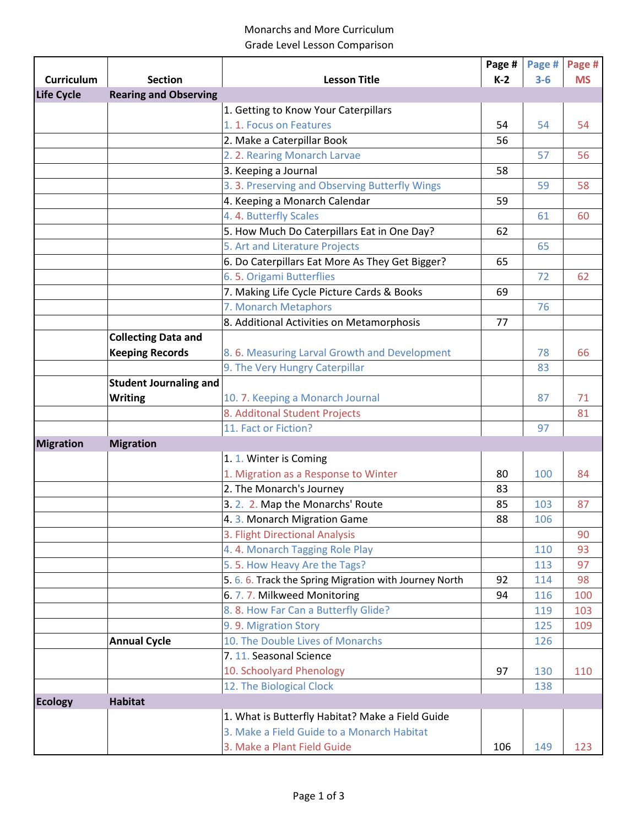## Monarchs and More Curriculum Grade Level Lesson Comparison

|                   |                               |                                                        | Page # | Page # | Page #    |
|-------------------|-------------------------------|--------------------------------------------------------|--------|--------|-----------|
| Curriculum        | <b>Section</b>                | <b>Lesson Title</b>                                    | $K-2$  | $3-6$  | <b>MS</b> |
| <b>Life Cycle</b> | <b>Rearing and Observing</b>  |                                                        |        |        |           |
|                   |                               | 1. Getting to Know Your Caterpillars                   |        |        |           |
|                   |                               | 1. 1. Focus on Features                                | 54     | 54     | 54        |
|                   |                               | 2. Make a Caterpillar Book                             | 56     |        |           |
|                   |                               | 2. 2. Rearing Monarch Larvae                           |        | 57     | 56        |
|                   |                               | 3. Keeping a Journal                                   | 58     |        |           |
|                   |                               | 3. 3. Preserving and Observing Butterfly Wings         |        | 59     | 58        |
|                   |                               | 4. Keeping a Monarch Calendar                          | 59     |        |           |
|                   |                               | 4. 4. Butterfly Scales                                 |        | 61     | 60        |
|                   |                               | 5. How Much Do Caterpillars Eat in One Day?            | 62     |        |           |
|                   |                               | 5. Art and Literature Projects                         |        | 65     |           |
|                   |                               | 6. Do Caterpillars Eat More As They Get Bigger?        | 65     |        |           |
|                   |                               | 6.5. Origami Butterflies                               |        | 72     | 62        |
|                   |                               | 7. Making Life Cycle Picture Cards & Books             | 69     |        |           |
|                   |                               | 7. Monarch Metaphors                                   |        | 76     |           |
|                   |                               | 8. Additional Activities on Metamorphosis              | 77     |        |           |
|                   | <b>Collecting Data and</b>    |                                                        |        |        |           |
|                   | <b>Keeping Records</b>        | 8.6. Measuring Larval Growth and Development           |        | 78     | 66        |
|                   |                               | 9. The Very Hungry Caterpillar                         |        | 83     |           |
|                   | <b>Student Journaling and</b> |                                                        |        |        |           |
|                   | <b>Writing</b>                | 10. 7. Keeping a Monarch Journal                       |        | 87     | 71        |
|                   |                               | 8. Additonal Student Projects                          |        |        | 81        |
|                   |                               | 11. Fact or Fiction?                                   |        | 97     |           |
| <b>Migration</b>  | <b>Migration</b>              |                                                        |        |        |           |
|                   |                               | 1. 1. Winter is Coming                                 |        |        |           |
|                   |                               | 1. Migration as a Response to Winter                   | 80     | 100    | 84        |
|                   |                               | 2. The Monarch's Journey                               | 83     |        |           |
|                   |                               | 3.2.2. Map the Monarchs' Route                         | 85     | 103    | 87        |
|                   |                               | 4.3. Monarch Migration Game                            | 88     | 106    |           |
|                   |                               | 3. Flight Directional Analysis                         |        |        | 90        |
|                   |                               | 4.4. Monarch Tagging Role Play                         |        | 110    | 93        |
|                   |                               | 5.5. How Heavy Are the Tags?                           |        | 113    | 97        |
|                   |                               | 5. 6. 6. Track the Spring Migration with Journey North | 92     | 114    | 98        |
|                   |                               | 6.7.7. Milkweed Monitoring                             | 94     | 116    | 100       |
|                   |                               | 8.8. How Far Can a Butterfly Glide?                    |        | 119    | 103       |
|                   |                               | 9.9. Migration Story                                   |        | 125    | 109       |
|                   | <b>Annual Cycle</b>           | 10. The Double Lives of Monarchs                       |        | 126    |           |
|                   |                               | 7. 11. Seasonal Science                                |        |        |           |
|                   |                               | 10. Schoolyard Phenology                               | 97     | 130    | 110       |
|                   |                               | 12. The Biological Clock                               |        | 138    |           |
| <b>Ecology</b>    | <b>Habitat</b>                |                                                        |        |        |           |
|                   |                               | 1. What is Butterfly Habitat? Make a Field Guide       |        |        |           |
|                   |                               | 3. Make a Field Guide to a Monarch Habitat             |        |        |           |
|                   |                               | 3. Make a Plant Field Guide                            | 106    |        |           |
|                   |                               |                                                        |        | 149    | 123       |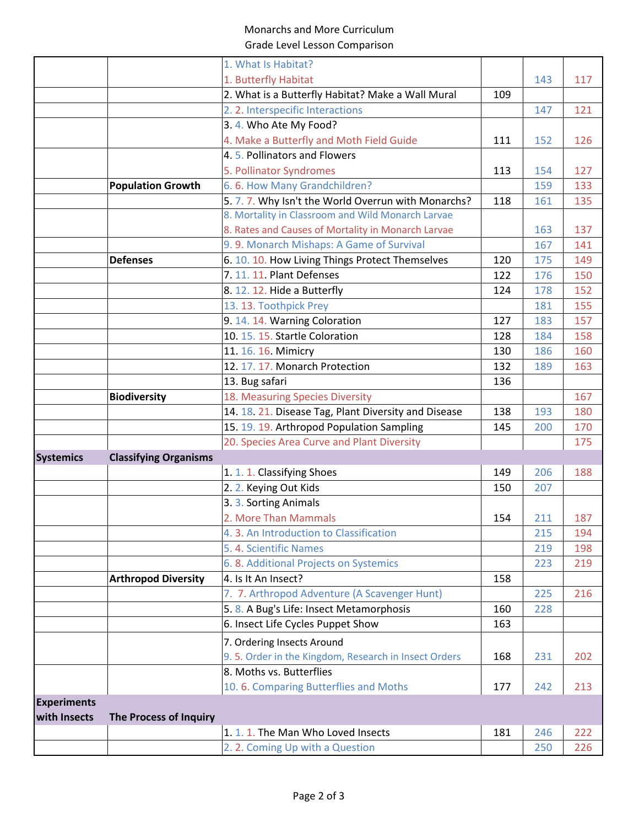## Monarchs and More Curriculum Grade Level Lesson Comparison

| 1. What Is Habitat?<br>1. Butterfly Habitat<br>143<br>117<br>2. What is a Butterfly Habitat? Make a Wall Mural<br>109<br>2. 2. Interspecific Interactions<br>147<br>121<br>3.4. Who Ate My Food?<br>4. Make a Butterfly and Moth Field Guide<br>111<br>126<br>152<br>4.5. Pollinators and Flowers<br>5. Pollinator Syndromes<br>127<br>113<br>154<br><b>Population Growth</b><br>6.6. How Many Grandchildren?<br>133<br>159<br>5. 7. 7. Why Isn't the World Overrun with Monarchs?<br>118<br>135<br>161<br>8. Mortality in Classroom and Wild Monarch Larvae<br>8. Rates and Causes of Mortality in Monarch Larvae<br>137<br>163<br>9.9. Monarch Mishaps: A Game of Survival<br>141<br>167<br><b>Defenses</b><br>6. 10. 10. How Living Things Protect Themselves<br>120<br>149<br>175<br>7. 11. 11. Plant Defenses<br>122<br>176<br>150<br>8. 12. 12. Hide a Butterfly<br>152<br>124<br>178<br>13. 13. Toothpick Prey<br>155<br>181<br>9. 14. 14. Warning Coloration<br>157<br>127<br>183<br>10. 15. 15. Startle Coloration<br>128<br>184<br>158 |
|--------------------------------------------------------------------------------------------------------------------------------------------------------------------------------------------------------------------------------------------------------------------------------------------------------------------------------------------------------------------------------------------------------------------------------------------------------------------------------------------------------------------------------------------------------------------------------------------------------------------------------------------------------------------------------------------------------------------------------------------------------------------------------------------------------------------------------------------------------------------------------------------------------------------------------------------------------------------------------------------------------------------------------------------------|
|                                                                                                                                                                                                                                                                                                                                                                                                                                                                                                                                                                                                                                                                                                                                                                                                                                                                                                                                                                                                                                                  |
|                                                                                                                                                                                                                                                                                                                                                                                                                                                                                                                                                                                                                                                                                                                                                                                                                                                                                                                                                                                                                                                  |
|                                                                                                                                                                                                                                                                                                                                                                                                                                                                                                                                                                                                                                                                                                                                                                                                                                                                                                                                                                                                                                                  |
|                                                                                                                                                                                                                                                                                                                                                                                                                                                                                                                                                                                                                                                                                                                                                                                                                                                                                                                                                                                                                                                  |
|                                                                                                                                                                                                                                                                                                                                                                                                                                                                                                                                                                                                                                                                                                                                                                                                                                                                                                                                                                                                                                                  |
|                                                                                                                                                                                                                                                                                                                                                                                                                                                                                                                                                                                                                                                                                                                                                                                                                                                                                                                                                                                                                                                  |
|                                                                                                                                                                                                                                                                                                                                                                                                                                                                                                                                                                                                                                                                                                                                                                                                                                                                                                                                                                                                                                                  |
|                                                                                                                                                                                                                                                                                                                                                                                                                                                                                                                                                                                                                                                                                                                                                                                                                                                                                                                                                                                                                                                  |
|                                                                                                                                                                                                                                                                                                                                                                                                                                                                                                                                                                                                                                                                                                                                                                                                                                                                                                                                                                                                                                                  |
|                                                                                                                                                                                                                                                                                                                                                                                                                                                                                                                                                                                                                                                                                                                                                                                                                                                                                                                                                                                                                                                  |
|                                                                                                                                                                                                                                                                                                                                                                                                                                                                                                                                                                                                                                                                                                                                                                                                                                                                                                                                                                                                                                                  |
|                                                                                                                                                                                                                                                                                                                                                                                                                                                                                                                                                                                                                                                                                                                                                                                                                                                                                                                                                                                                                                                  |
|                                                                                                                                                                                                                                                                                                                                                                                                                                                                                                                                                                                                                                                                                                                                                                                                                                                                                                                                                                                                                                                  |
|                                                                                                                                                                                                                                                                                                                                                                                                                                                                                                                                                                                                                                                                                                                                                                                                                                                                                                                                                                                                                                                  |
|                                                                                                                                                                                                                                                                                                                                                                                                                                                                                                                                                                                                                                                                                                                                                                                                                                                                                                                                                                                                                                                  |
|                                                                                                                                                                                                                                                                                                                                                                                                                                                                                                                                                                                                                                                                                                                                                                                                                                                                                                                                                                                                                                                  |
|                                                                                                                                                                                                                                                                                                                                                                                                                                                                                                                                                                                                                                                                                                                                                                                                                                                                                                                                                                                                                                                  |
|                                                                                                                                                                                                                                                                                                                                                                                                                                                                                                                                                                                                                                                                                                                                                                                                                                                                                                                                                                                                                                                  |
| 11. 16. 16. Mimicry<br>130<br>160<br>186                                                                                                                                                                                                                                                                                                                                                                                                                                                                                                                                                                                                                                                                                                                                                                                                                                                                                                                                                                                                         |
| 12. 17. 17. Monarch Protection<br>132<br>163<br>189                                                                                                                                                                                                                                                                                                                                                                                                                                                                                                                                                                                                                                                                                                                                                                                                                                                                                                                                                                                              |
| 13. Bug safari<br>136                                                                                                                                                                                                                                                                                                                                                                                                                                                                                                                                                                                                                                                                                                                                                                                                                                                                                                                                                                                                                            |
| <b>Biodiversity</b><br>18. Measuring Species Diversity<br>167                                                                                                                                                                                                                                                                                                                                                                                                                                                                                                                                                                                                                                                                                                                                                                                                                                                                                                                                                                                    |
| 14. 18. 21. Disease Tag, Plant Diversity and Disease<br>138<br>193<br>180                                                                                                                                                                                                                                                                                                                                                                                                                                                                                                                                                                                                                                                                                                                                                                                                                                                                                                                                                                        |
| 15. 19. 19. Arthropod Population Sampling<br>170<br>145<br>200                                                                                                                                                                                                                                                                                                                                                                                                                                                                                                                                                                                                                                                                                                                                                                                                                                                                                                                                                                                   |
| 20. Species Area Curve and Plant Diversity<br>175                                                                                                                                                                                                                                                                                                                                                                                                                                                                                                                                                                                                                                                                                                                                                                                                                                                                                                                                                                                                |
| <b>Classifying Organisms</b><br><b>Systemics</b>                                                                                                                                                                                                                                                                                                                                                                                                                                                                                                                                                                                                                                                                                                                                                                                                                                                                                                                                                                                                 |
| 1. 1. 1. Classifying Shoes<br>206<br>149<br>188                                                                                                                                                                                                                                                                                                                                                                                                                                                                                                                                                                                                                                                                                                                                                                                                                                                                                                                                                                                                  |
| 2. 2. Keying Out Kids<br>150<br>207                                                                                                                                                                                                                                                                                                                                                                                                                                                                                                                                                                                                                                                                                                                                                                                                                                                                                                                                                                                                              |
| 3. 3. Sorting Animals                                                                                                                                                                                                                                                                                                                                                                                                                                                                                                                                                                                                                                                                                                                                                                                                                                                                                                                                                                                                                            |
| 2. More Than Mammals<br>187<br>154<br>211                                                                                                                                                                                                                                                                                                                                                                                                                                                                                                                                                                                                                                                                                                                                                                                                                                                                                                                                                                                                        |
| 4. 3. An Introduction to Classification<br>194<br>215                                                                                                                                                                                                                                                                                                                                                                                                                                                                                                                                                                                                                                                                                                                                                                                                                                                                                                                                                                                            |
| 5. 4. Scientific Names<br>219<br>198                                                                                                                                                                                                                                                                                                                                                                                                                                                                                                                                                                                                                                                                                                                                                                                                                                                                                                                                                                                                             |
| 6. 8. Additional Projects on Systemics<br>223<br>219                                                                                                                                                                                                                                                                                                                                                                                                                                                                                                                                                                                                                                                                                                                                                                                                                                                                                                                                                                                             |
| 4. Is It An Insect?<br><b>Arthropod Diversity</b><br>158                                                                                                                                                                                                                                                                                                                                                                                                                                                                                                                                                                                                                                                                                                                                                                                                                                                                                                                                                                                         |
| 7. 7. Arthropod Adventure (A Scavenger Hunt)<br>225<br>216                                                                                                                                                                                                                                                                                                                                                                                                                                                                                                                                                                                                                                                                                                                                                                                                                                                                                                                                                                                       |
| 5. 8. A Bug's Life: Insect Metamorphosis<br>228<br>160                                                                                                                                                                                                                                                                                                                                                                                                                                                                                                                                                                                                                                                                                                                                                                                                                                                                                                                                                                                           |
| 6. Insect Life Cycles Puppet Show<br>163                                                                                                                                                                                                                                                                                                                                                                                                                                                                                                                                                                                                                                                                                                                                                                                                                                                                                                                                                                                                         |
| 7. Ordering Insects Around                                                                                                                                                                                                                                                                                                                                                                                                                                                                                                                                                                                                                                                                                                                                                                                                                                                                                                                                                                                                                       |
| 9.5. Order in the Kingdom, Research in Insect Orders<br>202<br>168<br>231                                                                                                                                                                                                                                                                                                                                                                                                                                                                                                                                                                                                                                                                                                                                                                                                                                                                                                                                                                        |
| 8. Moths vs. Butterflies                                                                                                                                                                                                                                                                                                                                                                                                                                                                                                                                                                                                                                                                                                                                                                                                                                                                                                                                                                                                                         |
| 10.6. Comparing Butterflies and Moths<br>177<br>242<br>213                                                                                                                                                                                                                                                                                                                                                                                                                                                                                                                                                                                                                                                                                                                                                                                                                                                                                                                                                                                       |
| <b>Experiments</b>                                                                                                                                                                                                                                                                                                                                                                                                                                                                                                                                                                                                                                                                                                                                                                                                                                                                                                                                                                                                                               |
| with Insects<br><b>The Process of Inquiry</b>                                                                                                                                                                                                                                                                                                                                                                                                                                                                                                                                                                                                                                                                                                                                                                                                                                                                                                                                                                                                    |
| 1.1.1. The Man Who Loved Insects<br>181<br>246<br>222                                                                                                                                                                                                                                                                                                                                                                                                                                                                                                                                                                                                                                                                                                                                                                                                                                                                                                                                                                                            |
| 2. 2. Coming Up with a Question<br>250<br>226                                                                                                                                                                                                                                                                                                                                                                                                                                                                                                                                                                                                                                                                                                                                                                                                                                                                                                                                                                                                    |